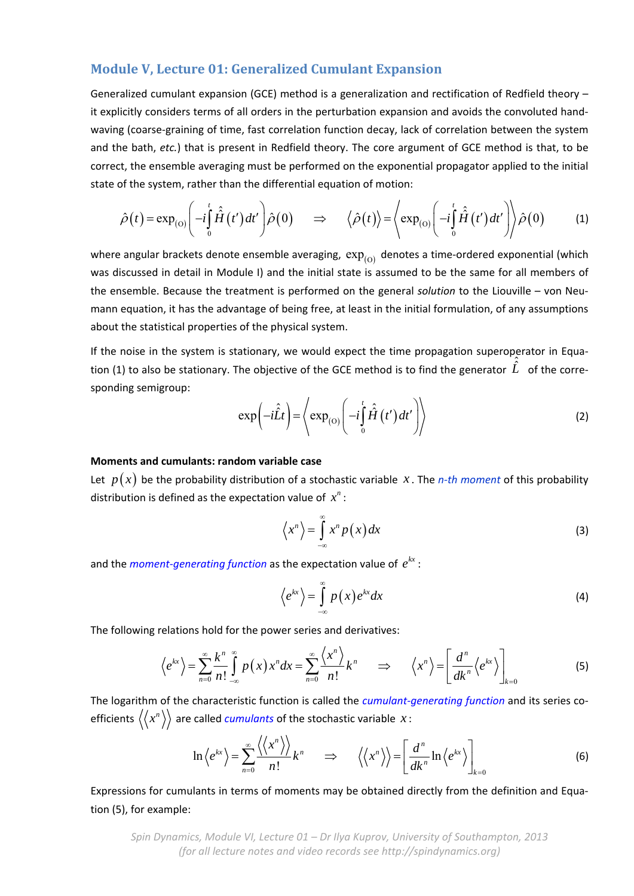# **Module V, Lecture 01: Generalized Cumulant Expansion**

Generalized cumulant expansion (GCE) method is a generalization and rectification of Redfield theory – it explicitly considers terms of all orders in the perturbation expansion and avoids the convoluted hand‐ waving (coarse‐graining of time, fast correlation function decay, lack of correlation between the system and the bath, *etc.*) that is present in Redfield theory. The core argument of GCE method is that, to be correct, the ensemble averaging must be performed on the exponential propagator applied to the initial state of the system, rather than the differential equation of motion:

$$
\hat{\rho}(t) = \exp_{(0)}\left(-i\int_{0}^{t} \hat{\hat{H}}(t')dt'\right)\hat{\rho}(0) \quad \Rightarrow \quad \langle \hat{\rho}(t) \rangle = \left\langle \exp_{(0)}\left(-i\int_{0}^{t} \hat{\hat{H}}(t')dt'\right) \right\rangle \hat{\rho}(0) \tag{1}
$$

where angular brackets denote ensemble averaging,  $exp<sub>(O)</sub>$  denotes a time-ordered exponential (which was discussed in detail in Module I) and the initial state is assumed to be the same for all members of the ensemble. Because the treatment is performed on the general *solution* to the Liouville – von Neu‐ mann equation, it has the advantage of being free, at least in the initial formulation, of any assumptions about the statistical properties of the physical system.

If the noise in the system is stationary, we would expect the time propagation superoperator in Equation (1) to also be stationary. The objective of the GCE method is to find the generator  $\hat{L}$  of the corresponding semigroup: *t*

$$
\exp\left(-i\hat{L}t\right) = \left\langle \exp_{(0)}\left(-i\int_{0}^{t}\hat{H}\left(t'\right)dt'\right)\right\rangle \tag{2}
$$

## **Moments and cumulants: random variable case**

Let  $p(x)$  be the probability distribution of a stochastic variable *x*. The *n*-th moment of this probability distribution is defined as the expectation value of  $x^n$ :

$$
\left\langle x^{n}\right\rangle =\int\limits_{-\infty}^{\infty}x^{n}p\left(x\right)dx\tag{3}
$$

and the *moment-generating function* as the expectation value of  $e^{kx}$  :

$$
\left\langle e^{kx}\right\rangle = \int\limits_{-\infty}^{\infty} p(x)e^{kx}dx\tag{4}
$$

The following relations hold for the power series and derivatives:

$$
\left\langle e^{kx} \right\rangle = \sum_{n=0}^{\infty} \frac{k^n}{n!} \int_{-\infty}^{\infty} p(x) x^n dx = \sum_{n=0}^{\infty} \frac{\left\langle x^n \right\rangle}{n!} k^n \qquad \Rightarrow \qquad \left\langle x^n \right\rangle = \left[ \frac{d^n}{dk^n} \left\langle e^{kx} \right\rangle \right]_{k=0} \tag{5}
$$

The logarithm of the characteristic function is called the *cumulant‐generating function* and its series co‐ efficients  $\langle x^n \rangle$  are called *cumulants* of the stochastic variable  $x$ :

$$
\ln \left\langle e^{kx} \right\rangle = \sum_{n=0}^{\infty} \frac{\left\langle \left\langle x^{n} \right\rangle \right\rangle}{n!} k^{n} \qquad \Rightarrow \qquad \left\langle \left\langle x^{n} \right\rangle \right\rangle = \left[ \frac{d^{n}}{dk^{n}} \ln \left\langle e^{kx} \right\rangle \right]_{k=0} \tag{6}
$$

Expressions for cumulants in terms of moments may be obtained directly from the definition and Equa‐ tion (5), for example:

*Spin Dynamics, Module VI, Lecture 01 – Dr Ilya Kuprov, University of Southampton, 2013 (for all lecture notes and video records see http://spindynamics.org)*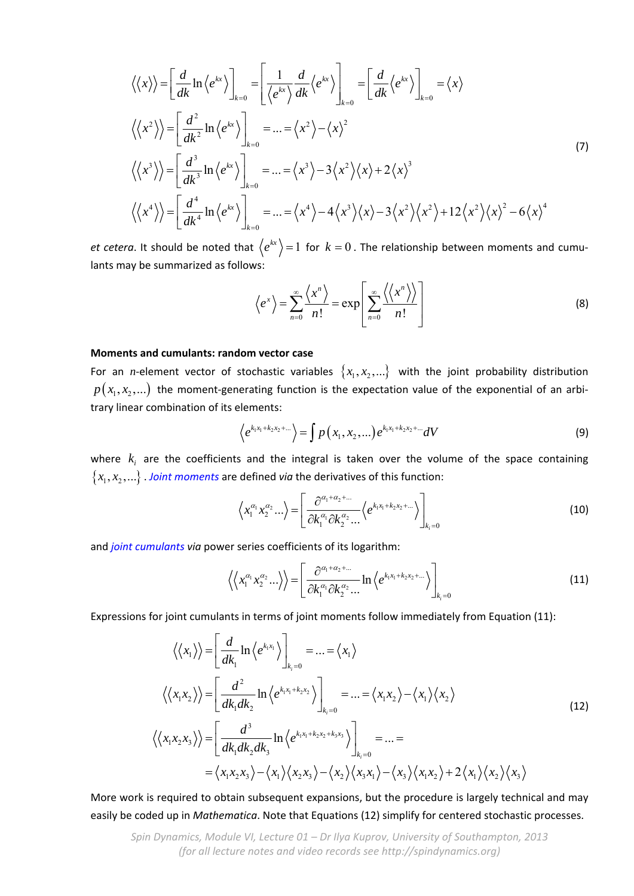$$
\langle \langle x \rangle \rangle = \left[ \frac{d}{dk} \ln \langle e^{kx} \rangle \right]_{k=0} = \left[ \frac{1}{\langle e^{kx} \rangle} \frac{d}{dk} \langle e^{kx} \rangle \right]_{k=0} = \left[ \frac{d}{dk} \langle e^{kx} \rangle \right]_{k=0} = \langle x \rangle
$$
  

$$
\langle \langle x^2 \rangle \rangle = \left[ \frac{d^2}{dk^2} \ln \langle e^{kx} \rangle \right]_{k=0} = \dots = \langle x^2 \rangle - \langle x \rangle^2
$$
  

$$
\langle \langle x^3 \rangle \rangle = \left[ \frac{d^3}{dk^3} \ln \langle e^{kx} \rangle \right]_{k=0} = \dots = \langle x^3 \rangle - 3 \langle x^2 \rangle \langle x \rangle + 2 \langle x \rangle^3
$$
  

$$
\langle \langle x^4 \rangle \rangle = \left[ \frac{d^4}{dk^4} \ln \langle e^{kx} \rangle \right]_{k=0} = \dots = \langle x^4 \rangle - 4 \langle x^3 \rangle \langle x \rangle - 3 \langle x^2 \rangle \langle x^2 \rangle + 12 \langle x^2 \rangle \langle x \rangle^2 - 6 \langle x \rangle^4
$$
 (7)

*et cetera*. It should be noted that  $\Braket{e^{kx}}{=}\Braket{1}$  for  $k=0$  . The relationship between moments and cumulants may be summarized as follows:

$$
\left\langle e^x \right\rangle = \sum_{n=0}^{\infty} \frac{\left\langle x^n \right\rangle}{n!} = \exp \left[ \sum_{n=0}^{\infty} \frac{\left\langle \left\langle x^n \right\rangle \right\rangle}{n!} \right]
$$
(8)

## **Moments and cumulants: random vector case**

For an *n*-element vector of stochastic variables  $\{x_1, x_2, ...\}$  with the joint probability distribution  $p(x_1, x_2, ...)$  the moment-generating function is the expectation value of the exponential of an arbitrary linear combination of its elements:

$$
\left\langle e^{k_1x_1+k_2x_2+\dots}\right\rangle = \int p(x_1, x_2, \dots) e^{k_1x_1+k_2x_2+\dots} dV
$$
\n(9)

where  $k_i$  are the coefficients and the integral is taken over the volume of the space containing  ${x_1, x_2,...}$ . *Joint moments* are defined *via* the derivatives of this function:

$$
\left\langle x_1^{\alpha_1} x_2^{\alpha_2} \dots \right\rangle = \left[ \frac{\partial^{\alpha_1 + \alpha_2 + \dots}}{\partial k_1^{\alpha_1} \partial k_2^{\alpha_2} \dots} \left\langle e^{k_1 x_1 + k_2 x_2 + \dots} \right\rangle \right]_{k_i = 0}
$$
\n(10)

and *joint cumulants via* power series coefficients of its logarithm:

$$
\left\langle \left\langle x_1^{\alpha_1} x_2^{\alpha_2} \ldots \right\rangle \right\rangle = \left[ \frac{\partial^{\alpha_1 + \alpha_2 + \ldots}}{\partial k_1^{\alpha_1} \partial k_2^{\alpha_2} \ldots} \ln \left\langle e^{k_1 x_1 + k_2 x_2 + \ldots} \right\rangle \right]_{k_i = 0}
$$
\n(11)

Expressions for joint cumulants in terms of joint moments follow immediately from Equation (11):

$$
\langle \langle x_1 \rangle \rangle = \left[ \frac{d}{dk_1} \ln \langle e^{k_1 x_1} \rangle \right]_{k_1=0} = \dots = \langle x_1 \rangle
$$
  

$$
\langle \langle x_1 x_2 \rangle \rangle = \left[ \frac{d^2}{dk_1 dk_2} \ln \langle e^{k_1 x_1 + k_2 x_2} \rangle \right]_{k_1=0} = \dots = \langle x_1 x_2 \rangle - \langle x_1 \rangle \langle x_2 \rangle
$$
  

$$
\langle x_1 x_2 x_3 \rangle \rangle = \left[ \frac{d^3}{dk_1 dk_2 dk_3} \ln \langle e^{k_1 x_1 + k_2 x_2 + k_3 x_3} \rangle \right]_{k_1=0} = \dots =
$$
  

$$
= \langle x_1 x_2 x_3 \rangle - \langle x_1 \rangle \langle x_2 x_3 \rangle - \langle x_2 \rangle \langle x_3 x_1 \rangle - \langle x_3 \rangle \langle x_1 x_2 \rangle + 2 \langle x_1 \rangle \langle x_2 \rangle \langle x_3 \rangle
$$
 (12)

More work is required to obtain subsequent expansions, but the procedure is largely technical and may easily be coded up in *Mathematica*. Note that Equations (12) simplify for centered stochastic processes.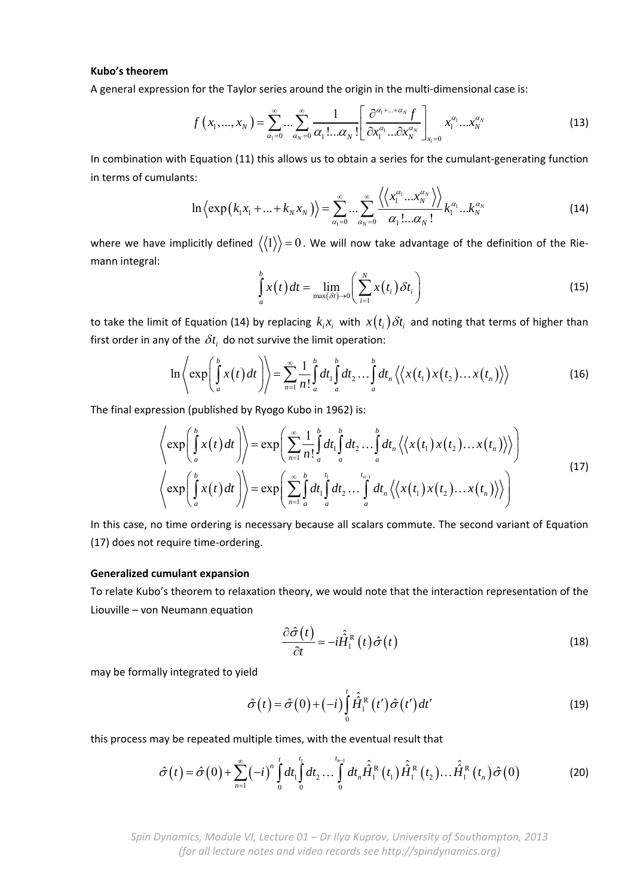#### **Kubo's theorem**

A general expression for the Taylor series around the origin in the multi-dimensional case is:

$$
f\left(x_1,...,x_N\right) = \sum_{\alpha_1=0}^{\infty} \cdots \sum_{\alpha_N=0}^{\infty} \frac{1}{\alpha_1!...\alpha_N!} \left[ \frac{\partial^{\alpha_1+...+\alpha_N} f}{\partial x_1^{\alpha_1}...\partial x_N^{\alpha_N}} \right]_{x_i=0} x_1^{\alpha_1}...x_N^{\alpha_N}
$$
(13)

In combination with Equation (11) this allows us to obtain a series for the cumulant-generating function in terms of cumulants:

$$
\ln \left\langle \exp\left(k_1x_1 + \ldots + k_Nx_N\right)\right\rangle = \sum_{\alpha_1=0}^{\infty} \ldots \sum_{\alpha_N=0}^{\infty} \frac{\left\langle \left\langle x_1^{\alpha_1} \ldots x_N^{\alpha_N} \right\rangle \right\rangle}{\alpha_1! \ldots \alpha_N!} k_1^{\alpha_1} \ldots k_N^{\alpha_N}
$$
(14)

where we have implicitly defined  $\langle\langle 1\rangle\rangle = 0$ . We will now take advantage of the definition of the Riemann integral:

$$
\int_{a}^{b} x(t) dt = \lim_{\max(\delta t) \to 0} \left( \sum_{i=1}^{N} x(t_i) \delta t_i \right)
$$
\n(15)

to take the limit of Equation (14) by replacing  $k_i x_i$  with  $x(t_i)\delta t_i$  and noting that terms of higher than first order in any of the  $\delta t_i$  do not survive the limit operation:

$$
\ln\left\langle \exp\left(\int_a^b x(t)dt\right)\right\rangle = \sum_{n=1}^{\infty} \frac{1}{n!} \int_a^b dt_1 \int_a^b dt_2 \dots \int_a^b dt_n \left\langle \left\langle x(t_1) x(t_2) \dots x(t_n) \right\rangle \right\rangle
$$
 (16)

The final expression (published by Ryogo Kubo in 1962) is:

$$
\left\langle \exp\left(\int_a^b x(t) dt\right) \right\rangle = \exp\left(\sum_{n=1}^{\infty} \frac{1}{n!} \int_a^b dt_1 \int_a^b dt_2 \dots \int_a^b dt_n \left\langle \left\langle x(t_1) x(t_2) \dots x(t_n) \right\rangle \right\rangle \right) \left\langle \exp\left(\int_a^b x(t) dt\right) \right\rangle = \exp\left(\sum_{n=1}^{\infty} \int_a^b dt_1 \int_a^t dt_2 \dots \int_a^{t_{n-1}} dt_n \left\langle \left\langle x(t_1) x(t_2) \dots x(t_n) \right\rangle \right\rangle \right)
$$
\n(17)

In this case, no time ordering is necessary because all scalars commute. The second variant of Equation (17) does not require time‐ordering.

### **Generalized cumulant expansion**

To relate Kubo's theorem to relaxation theory, we would note that the interaction representation of the Liouville – von Neumann equation

$$
\frac{\partial \hat{\sigma}(t)}{\partial t} = -i \hat{\hat{H}}_1^{\text{R}}(t) \hat{\sigma}(t)
$$
\n(18)

may be formally integrated to yield

$$
\hat{\sigma}(t) = \hat{\sigma}(0) + (-i) \int_{0}^{t} \hat{H}_{1}^{R}(t') \hat{\sigma}(t') dt'
$$
\n(19)

this process may be repeated multiple times, with the eventual result that

$$
\hat{\sigma}(t) = \hat{\sigma}(0) + \sum_{n=1}^{\infty} (-i)^n \int_0^t dt_1 \int_0^{t_1} dt_2 \dots \int_0^{t_{n-1}} dt_n \hat{H}_1^R(t_1) \hat{H}_1^R(t_2) \dots \hat{H}_1^R(t_n) \hat{\sigma}(0)
$$
(20)

*Spin Dynamics, Module VI, Lecture 01 – Dr Ilya Kuprov, University of Southampton, 2013 (for all lecture notes and video records see http://spindynamics.org)*